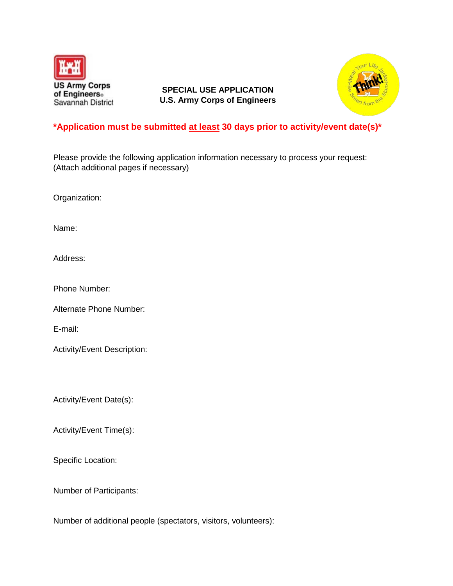

**SPECIAL USE APPLICATION U.S. Army Corps of Engineers**



## **\*Application must be submitted at least 30 days prior to activity/event date(s)\***

Please provide the following application information necessary to process your request: (Attach additional pages if necessary)

Organization:

Name:

Address:

Phone Number:

Alternate Phone Number:

E-mail:

Activity/Event Description:

Activity/Event Date(s):

Activity/Event Time(s):

Specific Location:

Number of Participants:

Number of additional people (spectators, visitors, volunteers):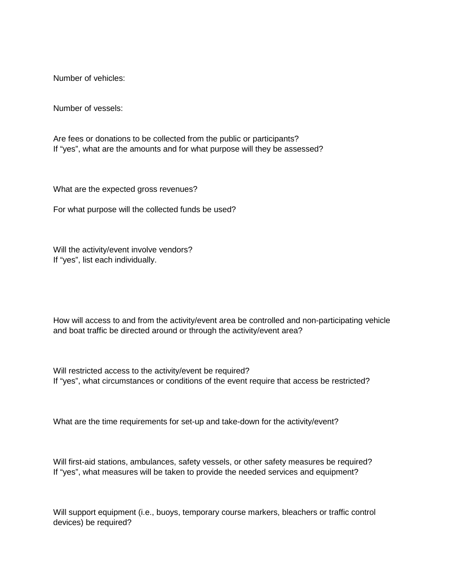Number of vehicles:

Number of vessels:

Are fees or donations to be collected from the public or participants? If "yes", what are the amounts and for what purpose will they be assessed?

What are the expected gross revenues?

For what purpose will the collected funds be used?

Will the activity/event involve vendors? If "yes", list each individually.

How will access to and from the activity/event area be controlled and non-participating vehicle and boat traffic be directed around or through the activity/event area?

Will restricted access to the activity/event be required? If "yes", what circumstances or conditions of the event require that access be restricted?

What are the time requirements for set-up and take-down for the activity/event?

Will first-aid stations, ambulances, safety vessels, or other safety measures be required? If "yes", what measures will be taken to provide the needed services and equipment?

Will support equipment (i.e., buoys, temporary course markers, bleachers or traffic control devices) be required?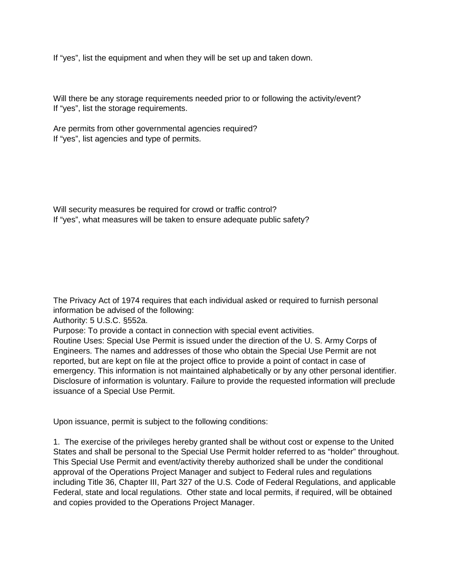If "yes", list the equipment and when they will be set up and taken down.

Will there be any storage requirements needed prior to or following the activity/event? If "yes", list the storage requirements.

Are permits from other governmental agencies required? If "yes", list agencies and type of permits.

Will security measures be required for crowd or traffic control? If "yes", what measures will be taken to ensure adequate public safety?

The Privacy Act of 1974 requires that each individual asked or required to furnish personal information be advised of the following:

Authority: 5 U.S.C. §552a.

Purpose: To provide a contact in connection with special event activities.

Routine Uses: Special Use Permit is issued under the direction of the U. S. Army Corps of Engineers. The names and addresses of those who obtain the Special Use Permit are not reported, but are kept on file at the project office to provide a point of contact in case of emergency. This information is not maintained alphabetically or by any other personal identifier. Disclosure of information is voluntary. Failure to provide the requested information will preclude issuance of a Special Use Permit.

Upon issuance, permit is subject to the following conditions:

1. The exercise of the privileges hereby granted shall be without cost or expense to the United States and shall be personal to the Special Use Permit holder referred to as "holder" throughout. This Special Use Permit and event/activity thereby authorized shall be under the conditional approval of the Operations Project Manager and subject to Federal rules and regulations including Title 36, Chapter III, Part 327 of the U.S. Code of Federal Regulations, and applicable Federal, state and local regulations. Other state and local permits, if required, will be obtained and copies provided to the Operations Project Manager.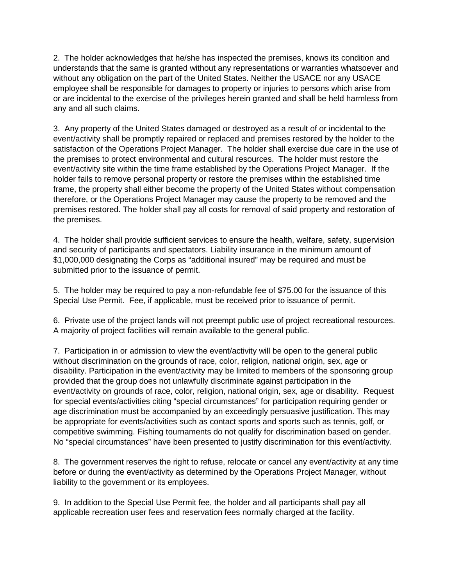2. The holder acknowledges that he/she has inspected the premises, knows its condition and understands that the same is granted without any representations or warranties whatsoever and without any obligation on the part of the United States. Neither the USACE nor any USACE employee shall be responsible for damages to property or injuries to persons which arise from or are incidental to the exercise of the privileges herein granted and shall be held harmless from any and all such claims.

3. Any property of the United States damaged or destroyed as a result of or incidental to the event/activity shall be promptly repaired or replaced and premises restored by the holder to the satisfaction of the Operations Project Manager. The holder shall exercise due care in the use of the premises to protect environmental and cultural resources. The holder must restore the event/activity site within the time frame established by the Operations Project Manager. If the holder fails to remove personal property or restore the premises within the established time frame, the property shall either become the property of the United States without compensation therefore, or the Operations Project Manager may cause the property to be removed and the premises restored. The holder shall pay all costs for removal of said property and restoration of the premises.

4. The holder shall provide sufficient services to ensure the health, welfare, safety, supervision and security of participants and spectators. Liability insurance in the minimum amount of \$1,000,000 designating the Corps as "additional insured" may be required and must be submitted prior to the issuance of permit.

5. The holder may be required to pay a non-refundable fee of \$75.00 for the issuance of this Special Use Permit. Fee, if applicable, must be received prior to issuance of permit.

6. Private use of the project lands will not preempt public use of project recreational resources. A majority of project facilities will remain available to the general public.

7. Participation in or admission to view the event/activity will be open to the general public without discrimination on the grounds of race, color, religion, national origin, sex, age or disability. Participation in the event/activity may be limited to members of the sponsoring group provided that the group does not unlawfully discriminate against participation in the event/activity on grounds of race, color, religion, national origin, sex, age or disability. Request for special events/activities citing "special circumstances" for participation requiring gender or age discrimination must be accompanied by an exceedingly persuasive justification. This may be appropriate for events/activities such as contact sports and sports such as tennis, golf, or competitive swimming. Fishing tournaments do not qualify for discrimination based on gender. No "special circumstances" have been presented to justify discrimination for this event/activity.

8. The government reserves the right to refuse, relocate or cancel any event/activity at any time before or during the event/activity as determined by the Operations Project Manager, without liability to the government or its employees.

9. In addition to the Special Use Permit fee, the holder and all participants shall pay all applicable recreation user fees and reservation fees normally charged at the facility.